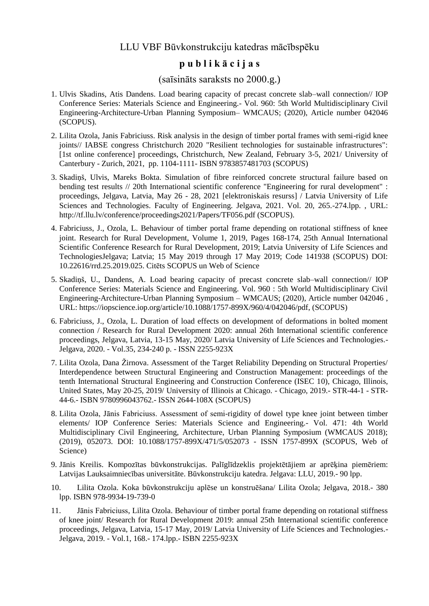## LLU VBF Būvkonstrukciju katedras mācībspēku

## **p u b l i k ā c i j a s**

## (saīsināts saraksts no 2000.g.)

- 1. Ulvis Skadins, Atis Dandens. Load bearing capacity of precast concrete slab–wall connection// IOP Conference Series: Materials Science and Engineering.- Vol. 960: 5th World Multidisciplinary Civil Engineering-Architecture-Urban Planning Symposium– WMCAUS; (2020), Article number 042046 (SCOPUS).
- 2. Lilita Ozola, Janis Fabriciuss. Risk analysis in the design of timber portal frames with semi-rigid knee joints// IABSE congress Christchurch 2020 "Resilient technologies for sustainable infrastructures": [1st online conference] proceedings, Christchurch, New Zealand, February 3-5, 2021/ University of Canterbury - Zurich, 2021, pp. 1104-1111- ISBN 9783857481703 (SCOPUS)
- 3. Skadiņš, Ulvis, Mareks Bokta. Simulation of fibre reinforced concrete structural failure based on bending test results // 20th International scientific conference "Engineering for rural development" : proceedings, Jelgava, Latvia, May 26 - 28, 2021 [elektroniskais resurss] / Latvia University of Life Sciences and Technologies. Faculty of Engineering. Jelgava, 2021. Vol. 20, 265.-274.lpp. , URL: http://tf.llu.lv/conference/proceedings2021/Papers/TF056.pdf (SCOPUS).
- 4. Fabriciuss, J., Ozola, L. Behaviour of timber portal frame depending on rotational stiffness of knee joint. Research for Rural Development, Volume 1, 2019, Pages 168-174, 25th Annual International Scientific Conference Research for Rural Development, 2019; Latvia University of Life Sciences and TechnologiesJelgava; Latvia; 15 May 2019 through 17 May 2019; Code 141938 (SCOPUS) DOI: 10.22616/rrd.25.2019.025. Citēts SCOPUS un Web of Science
- 5. Skadiņš, U., Dandens, A. Load bearing capacity of precast concrete slab–wall connection// IOP Conference Series: Materials Science and Engineering. Vol. 960 : 5th World Multidisciplinary Civil Engineering-Architecture-Urban Planning Symposium – WMCAUS; (2020), Article number 042046 , URL: https://iopscience.iop.org/article/10.1088/1757-899X/960/4/042046/pdf, (SCOPUS)
- 6. Fabriciuss, J., Ozola, L. Duration of load effects on development of deformations in bolted moment connection / Research for Rural Development 2020: annual 26th International scientific conference proceedings, Jelgava, Latvia, 13-15 May, 2020/ Latvia University of Life Sciences and Technologies.- Jelgava, 2020. - Vol.35, 234-240 p. - ISSN 2255-923X
- 7. Lilita Ozola, Dana Žirnova. Assessment of the Target Reliability Depending on Structural Properties/ Interdependence between Structural Engineering and Construction Management: proceedings of the tenth International Structural Engineering and Construction Conference (ISEC 10), Chicago, Illinois, United States, May 20-25, 2019/ University of Illinois at Chicago. - Chicago, 2019.- STR-44-1 - STR-44-6.- ISBN 9780996043762.- ISSN 2644-108X (SCOPUS)
- 8. Lilita Ozola, Jānis Fabriciuss. Assessment of semi-rigidity of dowel type knee joint between timber elements/ IOP Conference Series: Materials Science and Engineering.- Vol. 471: 4th World Multidisciplinary Civil Engineering, Architecture, Urban Planning Symposium (WMCAUS 2018); (2019), 052073. DOI: 10.1088/1757-899X/471/5/052073 - ISSN 1757-899X (SCOPUS, Web of Science)
- 9. Jānis Kreilis. Kompozītas būvkonstrukcijas. Palīglīdzeklis projektētājiem ar aprēķina piemēriem: Latvijas Lauksaimniecības universitāte. Būvkonstrukciju katedra. Jelgava: LLU, 2019.- 90 lpp.
- 10. Lilita Ozola. Koka būvkonstrukciju aplēse un konstruēšana/ Lilita Ozola; Jelgava, 2018.- 380 lpp. ISBN 978-9934-19-739-0
- 11. Jānis Fabriciuss, Lilita Ozola. Behaviour of timber portal frame depending on rotational stiffness of knee joint/ Research for Rural Development 2019: annual 25th International scientific conference proceedings, Jelgava, Latvia, 15-17 May, 2019/ Latvia University of Life Sciences and Technologies.- Jelgava, 2019. - Vol.1, 168.- 174.lpp.- ISBN 2255-923X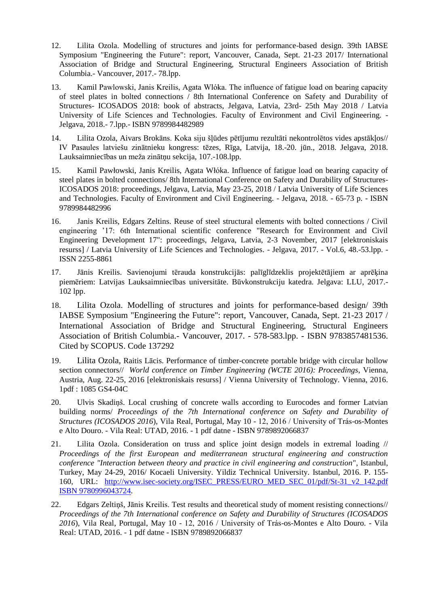- 12. Lilita Ozola. Modelling of structures and joints for performance-based design. 39th IABSE Symposium "Engineering the Future": report, Vancouver, Canada, Sept. 21-23 2017/ International Association of Bridge and Structural Engineering, Structural Engineers Association of British Columbia.- Vancouver, 2017.- 78.lpp.
- 13. Kamil Pawlowski, Janis Kreilis, Agata Wlóka. The influence of fatigue load on bearing capacity of steel plates in bolted connections / 8th International Conference on Safety and Durability of Structures- ICOSADOS 2018: book of abstracts, Jelgava, Latvia, 23rd- 25th May 2018 / Latvia University of Life Sciences and Technologies. Faculty of Environment and Civil Engineering. - Jelgava, 2018.- 7.lpp.- ISBN 9789984482989
- 14. Lilita Ozola, Aivars Brokāns. Koka siju šļūdes pētījumu rezultāti nekontrolētos vides apstākļos// IV Pasaules latviešu zinātnieku kongress: tēzes, Rīga, Latvija, 18.-20. jūn., 2018. Jelgava, 2018. Lauksaimniecības un meža zinātņu sekcija, 107.-108.lpp.
- 15. Kamil Pawłowski, Janis Kreilis, Agata Włóka. Influence of fatigue load on bearing capacity of steel plates in bolted connections/ 8th International Conference on Safety and Durability of Structures-ICOSADOS 2018: proceedings, Jelgava, Latvia, May 23-25, 2018 / Latvia University of Life Sciences and Technologies. Faculty of Environment and Civil Engineering. - Jelgava, 2018. - 65-73 p. - ISBN 9789984482996
- 16. Janis Kreilis, Edgars Zeltins. Reuse of steel structural elements with bolted connections / Civil engineering '17: 6th International scientific conference "Research for Environment and Civil Engineering Development 17": proceedings, Jelgava, Latvia, 2-3 November, 2017 [elektroniskais resurss] / Latvia University of Life Sciences and Technologies. - Jelgava, 2017. - Vol.6, 48.-53.lpp. - ISSN 2255-8861
- 17. Jānis Kreilis. Savienojumi tērauda konstrukcijās: palīglīdzeklis projektētājiem ar aprēķina piemēriem: Latvijas Lauksaimniecības universitāte. Būvkonstrukciju katedra. Jelgava: LLU, 2017.- 102 lpp.
- 18. Lilita Ozola. Modelling of structures and joints for performance-based design/ 39th IABSE Symposium "Engineering the Future": report, Vancouver, Canada, Sept. 21-23 2017 / International Association of Bridge and Structural Engineering, Structural Engineers Association of British Columbia.- Vancouver, 2017. - 578-583.lpp. - ISBN 9783857481536. Cited by SCOPUS. Code 137292
- 19. Lilita Ozola, Raitis Lācis. Performance of timber-concrete portable bridge with circular hollow section connectors// *World conference on Timber Engineering (WCTE 2016): Proceedings*, Vienna, Austria, Aug. 22-25, 2016 [elektroniskais resurss] / Vienna University of Technology. Vienna, 2016. 1pdf : 1085 GS4-04C
- 20. Ulvis Skadiņš. Local crushing of concrete walls according to Eurocodes and former Latvian building norms/ *Proceedings of the 7th International conference on Safety and Durability of Structures (ICOSADOS 2016*), Vila Real, Portugal, May 10 - 12, 2016 / University of Trás-os-Montes e Alto Douro. - Vila Real: UTAD, 2016. - 1 pdf datne - ISBN 9789892066837
- 21. Lilita Ozola. Consideration on truss and splice joint design models in extremal loading // *Proceedings of the first European and mediterranean structural engineering and construction conference "Interaction between theory and practice in civil engineering and construction*", Istanbul, Turkey, May 24-29, 2016/ Kocaeli University. Yildiz Technical University. Istanbul, 2016. P. 155- 160, URL: [http://www.isec-society.org/ISEC\\_PRESS/EURO\\_MED\\_SEC\\_01/pdf/St-31\\_v2\\_142.pdf](http://www.isec-society.org/ISEC_PRESS/EURO_MED_SEC_01/pdf/St-31_v2_142.pdf%20ISBN%209780996043724)  [ISBN 9780996043724.](http://www.isec-society.org/ISEC_PRESS/EURO_MED_SEC_01/pdf/St-31_v2_142.pdf%20ISBN%209780996043724)
- 22. Edgars Zeltiņš, Jānis Kreilis. Test results and theoretical study of moment resisting connections// *Proceedings of the 7th International conference on Safety and Durability of Structures (ICOSADOS 2016*), Vila Real, Portugal, May 10 - 12, 2016 / University of Trás-os-Montes e Alto Douro. - Vila Real: UTAD, 2016. - 1 pdf datne - ISBN 9789892066837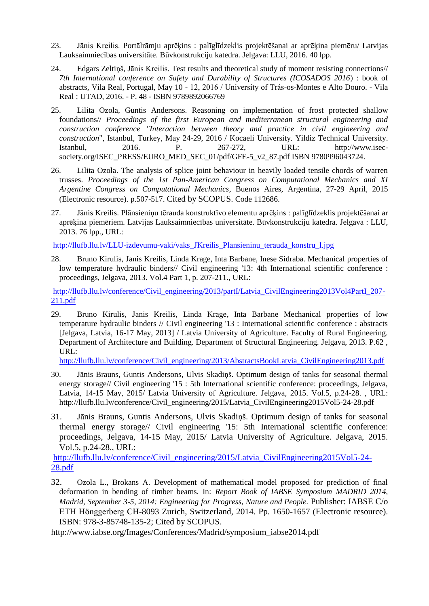- 23. Jānis Kreilis. Portālrāmju aprēķins : palīglīdzeklis projektēšanai ar aprēķina piemēru/ Latvijas Lauksaimniecības universitāte. Būvkonstrukciju katedra. Jelgava: LLU, 2016. 40 lpp.
- 24. Edgars Zeltiņš, Jānis Kreilis. Test results and theoretical study of moment resisting connections// *7th International conference on Safety and Durability of Structures (ICOSADOS 2016*) : book of abstracts, Vila Real, Portugal, May 10 - 12, 2016 / University of Trás-os-Montes e Alto Douro. - Vila Real : UTAD, 2016. - P. 48 - ISBN 9789892066769
- 25. Lilita Ozola, Guntis Andersons. Reasoning on implementation of frost protected shallow foundations// *Proceedings of the first European and mediterranean structural engineering and construction conference "Interaction between theory and practice in civil engineering and construction*", Istanbul, Turkey, May 24-29, 2016 / Kocaeli University. Yildiz Technical University. Istanbul, 2016. P. 267-272, URL: http://www.isecsociety.org/ISEC\_PRESS/EURO\_MED\_SEC\_01/pdf/GFE-5\_v2\_87.pdf ISBN 9780996043724.
- 26. Lilita Ozola. The analysis of splice joint behaviour in heavily loaded tensile chords of warren trusses. *Proceedings of the 1st Pan-American Congress on Computational Mechanics and XI Argentine Congress on Computational Mechanics*, Buenos Aires, Argentina, 27-29 April, 2015 (Electronic resource). p.507-517. Cited by SCOPUS. Code 112686.
- 27. Jānis Kreilis. Plānsieniņu tērauda konstruktīvo elementu aprēķins : palīglīdzeklis projektēšanai ar aprēķina piemēriem. Latvijas Lauksaimniecības universitāte. Būvkonstrukciju katedra. Jelgava : LLU, 2013. 76 lpp., URL:

[http://llufb.llu.lv/LLU-izdevumu-vaki/vaks\\_JKreilis\\_Plansieninu\\_terauda\\_konstru\\_l.jpg](http://llufb.llu.lv/LLU-izdevumu-vaki/vaks_JKreilis_Plansieninu_terauda_konstru_l.jpg)

28. Bruno Kirulis, Janis Kreilis, Linda Krage, Inta Barbane, Inese Sidraba. Mechanical properties of low temperature hydraulic binders// Civil engineering '13: 4th International scientific conference : proceedings, Jelgava, 2013. Vol.4 Part 1, p. 207-211., URL:

[http://llufb.llu.lv/conference/Civil\\_engineering/2013/partI/Latvia\\_CivilEngineering2013Vol4PartI\\_207-](http://llufb.llu.lv/conference/Civil_engineering/2013/partI/Latvia_CivilEngineering2013Vol4PartI_207-211.pdf) [211.pdf](http://llufb.llu.lv/conference/Civil_engineering/2013/partI/Latvia_CivilEngineering2013Vol4PartI_207-211.pdf)

29. Bruno Kirulis, Janis Kreilis, Linda Krage, Inta Barbane Mechanical properties of low temperature hydraulic binders // Civil engineering '13 : International scientific conference : abstracts [Jelgava, Latvia, 16-17 May, 2013] / Latvia University of Agriculture. Faculty of Rural Engineering. Department of Architecture and Building. Department of Structural Engineering. Jelgava, 2013. P.62 , URL:

[http://llufb.llu.lv/conference/Civil\\_engineering/2013/AbstractsBookLatvia\\_CivilEngineering2013.pdf](http://llufb.llu.lv/conference/Civil_engineering/2013/AbstractsBookLatvia_CivilEngineering2013.pdf)

- 30. Jānis Brauns, Guntis Andersons, Ulvis Skadiņš. Optimum design of tanks for seasonal thermal energy storage// Civil engineering '15 : 5th International scientific conference: proceedings, Jelgava, Latvia, 14-15 May, 2015/ Latvia University of Agriculture. Jelgava, 2015. Vol.5, p.24-28. , URL: http://llufb.llu.lv/conference/Civil\_engineering/2015/Latvia\_CivilEngineering2015Vol5-24-28.pdf
- 31. Jānis Brauns, Guntis Andersons, Ulvis Skadiņš. Optimum design of tanks for seasonal thermal energy storage// Civil engineering '15: 5th International scientific conference: proceedings, Jelgava, 14-15 May, 2015/ Latvia University of Agriculture. Jelgava, 2015. Vol.5, p.24-28., URL:

[http://llufb.llu.lv/conference/Civil\\_engineering/2015/Latvia\\_CivilEngineering2015Vol5-24-](http://llufb.llu.lv/conference/Civil_engineering/2015/Latvia_CivilEngineering2015Vol5-24-28.pdf) [28.pdf](http://llufb.llu.lv/conference/Civil_engineering/2015/Latvia_CivilEngineering2015Vol5-24-28.pdf)

32. Ozola L., Brokans A. Development of mathematical model proposed for prediction of final deformation in bending of timber beams. In: *Report Book of IABSE Symposium MADRID 2014, Madrid, September 3-5, 2014: Engineering for Progress, Nature and People.* Publisher: IABSE C/o ETH Hönggerberg CH-8093 Zurich, Switzerland, 2014. Pp. 1650-1657 (Electronic resource). ISBN: 978-3-85748-135-2; Cited by SCOPUS.

http://www.iabse.org/Images/Conferences/Madrid/symposium\_iabse2014.pdf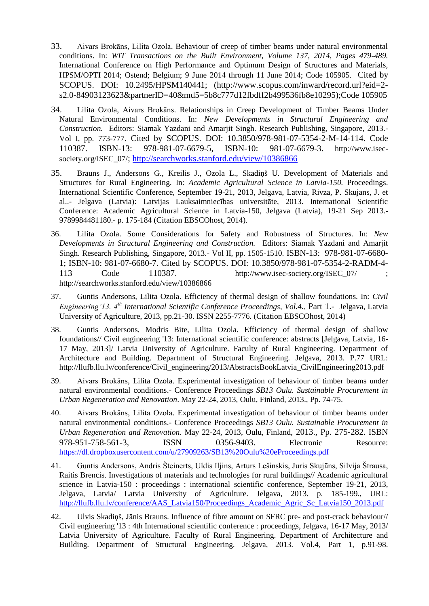- 33. Aivars Brokāns, Lilita Ozola. Behaviour of creep of timber beams under natural environmental conditions. In: *WIT Transactions on the Built Environment, Volume 137, 2014, Pages 479-489.*  International Conference on High Performance and Optimum Design of Structures and Materials, HPSM/OPTI 2014; Ostend; Belgium; 9 June 2014 through 11 June 2014; Code 105905. Cited by SCOPUS. DOI: 10.2495/HPSM140441; (http://www.scopus.com/inward/record.url?eid=2 s2.0-84903123623&partnerID=40&md5=5b8c777d12fbdff2b499536fb8e10295);Code 105905
- 34. Lilita Ozola, Aivars Brokāns. Relationships in Creep Development of Timber Beams Under Natural Environmental Conditions. In: *New Developments in Structural Engineering and Construction.* Editors: Siamak Yazdani and Amarjit Singh. Research Publishing, Singapore, 2013.- Vol I, pp. 773-777. Cited by SCOPUS. DOI: 10.3850/978-981-07-5354-2-M-14-114. Code 110387. ISBN-13: 978-981-07-6679-5, ISBN-10: 981-07-6679-3. http://www.isecsociety.org/ISEC\_07/;<http://searchworks.stanford.edu/view/10386866>
- 35. Brauns J., Andersons G., Kreilis J., Ozola L., Skadiņš U. Development of Materials and Structures for Rural Engineering. In: *Academic Agricultural Science in Latvia-150.* Proceedings. International Scientific Conference, September 19-21, 2013, Jelgava, Latvia, Rivza, P. Skujans, J. et al..- Jelgava (Latvia): Latvijas Lauksaimniecības universitāte, 2013. International Scientific Conference: Academic Agricultural Science in Latvia-150, Jelgava (Latvia), 19-21 Sep 2013.- 9789984481180.- p. 175-184 (Citation EBSCOhost, 2014).
- 36. Lilita Ozola. Some Considerations for Safety and Robustness of Structures. In: *New Developments in Structural Engineering and Construction.* Editors: Siamak Yazdani and Amarjit Singh. Research Publishing, Singapore, 2013.- Vol II, pp. 1505-1510. ISBN-13: 978-981-07-6680- 1; ISBN-10: 981-07-6680-7. Cited by SCOPUS. DOI: 10.3850/978-981-07-5354-2-RADM-4- 113 Code 110387. http://www.isec-society.org/ISEC\_07/ http://searchworks.stanford.edu/view/10386866
- 37. Guntis Andersons, Lilita Ozola. Efficiency of thermal design of shallow foundations. In: *Civil Engineering'13. 4th International Scientific Conference Proceedings, Vol.4.*, Part 1.- Jelgava, Latvia University of Agriculture, 2013, pp.21-30. ISSN 2255-7776. (Citation EBSCOhost, 2014)
- 38. Guntis Andersons, Modris Bite, Lilita Ozola. Efficiency of thermal design of shallow foundations// Civil engineering '13: International scientific conference: abstracts [Jelgava, Latvia, 16- 17 May, 2013]/ Latvia University of Agriculture. Faculty of Rural Engineering. Department of Architecture and Building. Department of Structural Engineering. Jelgava, 2013. P.77 URL: http://llufb.llu.lv/conference/Civil\_engineering/2013/AbstractsBookLatvia\_CivilEngineering2013.pdf
- 39. Aivars Brokāns, Lilita Ozola. Experimental investigation of behaviour of timber beams under natural environmental conditions.- Conference Proceedings *SB13 Oulu. Sustainable Procurement in Urban Regeneration and Renovation*. May 22-24, 2013, Oulu, Finland, 2013., Pp. 74-75.
- 40. Aivars Brokāns, Lilita Ozola. Experimental investigation of behaviour of timber beams under natural environmental conditions.- Conference Proceedings *SB13 Oulu. Sustainable Procurement in Urban Regeneration and Renovation*. May 22-24, 2013, Oulu, Finland, 2013., Pp. 275-282. ISBN 978-951-758-561-3, ISSN 0356-9403. Electronic Resource: <https://dl.dropboxusercontent.com/u/27909263/SB13%20Oulu%20eProceedings.pdf>
- 41. Guntis Andersons, Andris Šteinerts, Uldis Iljins, Arturs Lešinskis, Juris Skujāns, Silvija Štrausa, Raitis Brencis. Investigations of materials and technologies for rural buildings// Academic agricultural science in Latvia-150 : proceedings : international scientific conference, September 19-21, 2013, Jelgava, Latvia/ Latvia University of Agriculture. Jelgava, 2013. p. 185-199., URL: [http://llufb.llu.lv/conference/AAS\\_Latvia150/Proceedings\\_Academic\\_Agric\\_Sc\\_Latvia150\\_2013.pdf](http://llufb.llu.lv/conference/AAS_Latvia150/Proceedings_Academic_Agric_Sc_Latvia150_2013.pdf)
- 42. Ulvis Skadiņš, Jānis Brauns. Influence of fibre amount on SFRC pre- and post-crack behaviour// Civil engineering '13 : 4th International scientific conference : proceedings, Jelgava, 16-17 May, 2013/ Latvia University of Agriculture. Faculty of Rural Engineering. Department of Architecture and Building. Department of Structural Engineering. Jelgava, 2013. Vol.4, Part 1, p.91-98.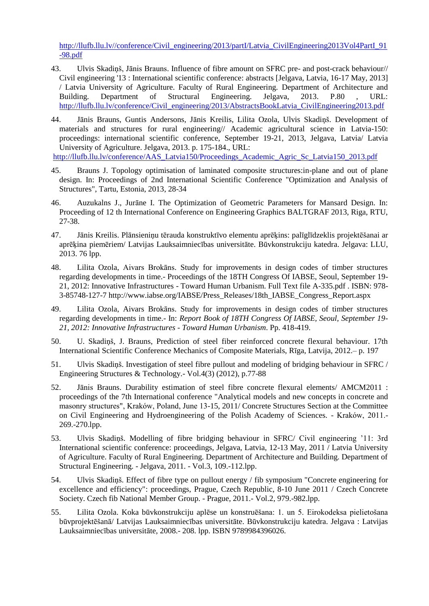[http://llufb.llu.lv//conference/Civil\\_engineering/2013/partI/Latvia\\_CivilEngineering2013Vol4PartI\\_91](http://llufb.llu.lv/conference/Civil_engineering/2013/partI/Latvia_CivilEngineering2013Vol4PartI_91-98.pdf) [-98.pdf](http://llufb.llu.lv/conference/Civil_engineering/2013/partI/Latvia_CivilEngineering2013Vol4PartI_91-98.pdf)

- 43. Ulvis Skadiņš, Jānis Brauns. Influence of fibre amount on SFRC pre- and post-crack behaviour// Civil engineering '13 : International scientific conference: abstracts [Jelgava, Latvia, 16-17 May, 2013] / Latvia University of Agriculture. Faculty of Rural Engineering. Department of Architecture and Building. Department of Structural Engineering. Jelgava, 2013. P.80 , URL: [http://llufb.llu.lv/conference/Civil\\_engineering/2013/AbstractsBookLatvia\\_CivilEngineering2013.pdf](http://llufb.llu.lv/conference/Civil_engineering/2013/AbstractsBookLatvia_CivilEngineering2013.pdf)
- 44. Jānis Brauns, Guntis Andersons, Jānis Kreilis, Lilita Ozola, Ulvis Skadiņš. Development of materials and structures for rural engineering// Academic agricultural science in Latvia-150: proceedings: international scientific conference, September 19-21, 2013, Jelgava, Latvia/ Latvia University of Agriculture. Jelgava, 2013. p. 175-184., URL: [http://llufb.llu.lv/conference/AAS\\_Latvia150/Proceedings\\_Academic\\_Agric\\_Sc\\_Latvia150\\_2013.pdf](http://llufb.llu.lv/conference/AAS_Latvia150/Proceedings_Academic_Agric_Sc_Latvia150_2013.pdf)

45. Brauns J. Topology optimisation of laminated composite structures:in-plane and out of plane

- design. In: Proceedings of 2nd International Scientific Conference "Optimization and Analysis of Structures", Tartu, Estonia, 2013, 28-34
- 46. Auzukalns J., Jurāne I. The Optimization of Geometric Parameters for Mansard Design. In: Proceeding of 12 th International Conference on Engineering Graphics BALTGRAF 2013, Riga, RTU, 27-38.
- 47. Jānis Kreilis. Plānsieniņu tērauda konstruktīvo elementu aprēķins: palīglīdzeklis projektēšanai ar aprēķina piemēriem/ Latvijas Lauksaimniecības universitāte. Būvkonstrukciju katedra. Jelgava: LLU, 2013. 76 lpp.
- 48. Lilita Ozola, Aivars Brokāns. Study for improvements in design codes of timber structures regarding developments in time.- Proceedings of the 18TH Congress Of IABSE, Seoul, September 19- 21, 2012: Innovative Infrastructures - Toward Human Urbanism. Full Text file A-335.pdf . ISBN: 978- 3-85748-127-7 http://www.iabse.org/IABSE/Press\_Releases/18th\_IABSE\_Congress\_Report.aspx
- 49. Lilita Ozola, Aivars Brokāns. Study for improvements in design codes of timber structures regarding developments in time.- In: *Report Book of 18TH Congress Of IABSE, Seoul, September 19- 21, 2012: Innovative Infrastructures - Toward Human Urbanism*. Pp. 418-419.
- 50. U. Skadiņš, J. Brauns, Prediction of steel fiber reinforced concrete flexural behaviour. 17th International Scientific Conference Mechanics of Composite Materials, Rīga, Latvija, 2012.– p. 197
- 51. Ulvis Skadiņš. Investigation of steel fibre pullout and modeling of bridging behaviour in SFRC / Engineering Structures & Technology.- Vol.4(3) (2012), p.77-88
- 52. Jānis Brauns. Durability estimation of steel fibre concrete flexural elements/ AMCM2011 : proceedings of the 7th International conference "Analytical models and new concepts in concrete and masonry structures", Kraków, Poland, June 13-15, 2011/ Concrete Structures Section at the Committee on Civil Engineering and Hydroengineering of the Polish Academy of Sciences. - Kraków, 2011.- 269.-270.lpp.
- 53. Ulvis Skadiņš. Modelling of fibre bridging behaviour in SFRC/ Civil engineering '11: 3rd International scientific conference: proceedings, Jelgava, Latvia, 12-13 May, 2011 / Latvia University of Agriculture. Faculty of Rural Engineering. Department of Architecture and Building. Department of Structural Engineering. - Jelgava, 2011. - Vol.3, 109.-112.lpp.
- 54. Ulvis Skadiņš. Effect of fibre type on pullout energy / fib symposium "Concrete engineering for excellence and efficiency": proceedings, Prague, Czech Republic, 8-10 June 2011 / Czech Concrete Society. Czech fib National Member Group. - Prague, 2011.- Vol.2, 979.-982.lpp.
- 55. Lilita Ozola. Koka būvkonstrukciju aplēse un konstruēšana: 1. un 5. Eirokodeksa pielietošana būvprojektēšanā/ Latvijas Lauksaimniecības universitāte. Būvkonstrukciju katedra. Jelgava : Latvijas Lauksaimniecības universitāte, 2008.- 208. lpp. ISBN 9789984396026.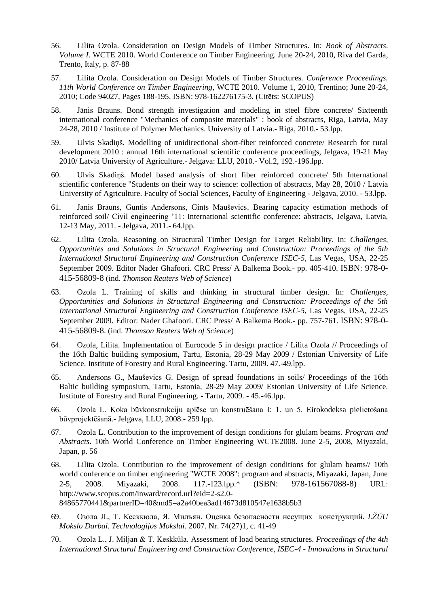- 56. Lilita Ozola. Consideration on Design Models of Timber Structures. In: *Book of Abstracts*. *Volume I*. WCTE 2010. World Conference on Timber Engineering. June 20-24, 2010, Riva del Garda, Trento, Italy, p. 87-88
- 57. Lilita Ozola. Consideration on Design Models of Timber Structures. *Conference Proceedings. 11th World Conference on Timber Engineering*, WCTE 2010. Volume 1, 2010, Trentino; June 20-24, 2010; Code 94027, Pages 188-195. ISBN: 978-162276175-3. (Citēts: SCOPUS)
- 58. Jānis Brauns. Bond strength investigation and modeling in steel fibre concrete/ Sixteenth international conference "Mechanics of composite materials" : book of abstracts, Riga, Latvia, May 24-28, 2010 / Institute of Polymer Mechanics. University of Latvia.- Riga, 2010.- 53.lpp.
- 59. Ulvis Skadiņš. Modelling of unidirectional short-fiber reinforced concrete/ Research for rural development 2010 : annual 16th international scientific conference proceedings, Jelgava, 19-21 May 2010/ Latvia University of Agriculture.- Jelgava: LLU, 2010.- Vol.2, 192.-196.lpp.
- 60. Ulvis Skadiņš. Model based analysis of short fiber reinforced concrete/ 5th International scientific conference "Students on their way to science: collection of abstracts, May 28, 2010 / Latvia University of Agriculture. Faculty of Social Sciences, Faculty of Engineering - Jelgava, 2010. - 53.lpp.
- 61. Janis Brauns, Guntis Andersons, Gints Mauševics. Bearing capacity estimation methods of reinforced soil/ Civil engineering '11: International scientific conference: abstracts, Jelgava, Latvia, 12-13 May, 2011. - Jelgava, 2011.- 64.lpp.
- 62. Lilita Ozola. Reasoning on Structural Timber Design for Target Reliability. In: *Challenges, Opportunities and Solutions in Structural Engineering and Construction: Proceedings of the 5th International Structural Engineering and Construction Conference ISEC-5*, Las Vegas, USA, 22-25 September 2009. Editor Nader Ghafoori. CRC Press/ A Balkema Book.- pp. 405-410. ISBN: 978-0- 415-56809-8 (ind. *Thomson Reuters Web of Science*)
- 63. Ozola L. Training of skills and thinking in structural timber design. In: *Challenges, Opportunities and Solutions in Structural Engineering and Construction: Proceedings of the 5th International Structural Engineering and Construction Conference ISEC-5*, Las Vegas, USA, 22-25 September 2009. Editor: Nader Ghafoori. CRC Press/ A Balkema Book.- pp. 757-761. ISBN: 978-0- 415-56809-8. (ind. *Thomson Reuters Web of Science*)
- 64. Ozola, Lilita. Implementation of Eurocode 5 in design practice / Lilita Ozola // Proceedings of the 16th Baltic building symposium, Tartu, Estonia, 28-29 May 2009 / Estonian University of Life Science. Institute of Forestry and Rural Engineering. Tartu, 2009. 47.-49.lpp.
- 65. Andersons G., Mauševics G. Design of spread foundations in soils/ Proceedings of the 16th Baltic building symposium, Tartu, Estonia, 28-29 May 2009/ Estonian University of Life Science. Institute of Forestry and Rural Engineering. - Tartu, 2009. - 45.-46.lpp.
- 66. Ozola L. Koka būvkonstrukciju aplēse un konstruēšana I: 1. un 5. Eirokodeksa pielietošana būvprojektēšanā.- Jelgava, LLU, 2008.- 259 lpp.
- 67. Ozola L. Contribution to the improvement of design conditions for glulam beams. *Program and Abstracts*. 10th World Conference on Timber Engineering WCTE2008. June 2-5, 2008, Miyazaki, Japan, p. 56
- 68. Lilita Ozola. Contribution to the improvement of design conditions for glulam beams// 10th world conference on timber engineering "WCTE 2008": program and abstracts, Miyazaki, Japan, June 2-5, 2008. Miyazaki, 2008. 117.-123.lpp.\* (ISBN: 978-161567088-8) URL: http://www.scopus.com/inward/record.url?eid=2-s2.0- 84865770441&partnerID=40&md5=a2a40bea3ad14673d810547e1638b5b3
- 69. Oзола Л., Т. Кесккюла, Я. Милъян. Оценка безопасности несущих конструкций. *LŽŪU Mokslo Darbai. Technologijos Mokslai*. 2007. Nr. 74(27)1, c. 41-49
- 70. Ozola L., J. Miljan & T. Keskküla. Assessment of load bearing structures. *Proceedings of the 4th International Structural Engineering and Construction Conference, ISEC-4 - Innovations in Structural*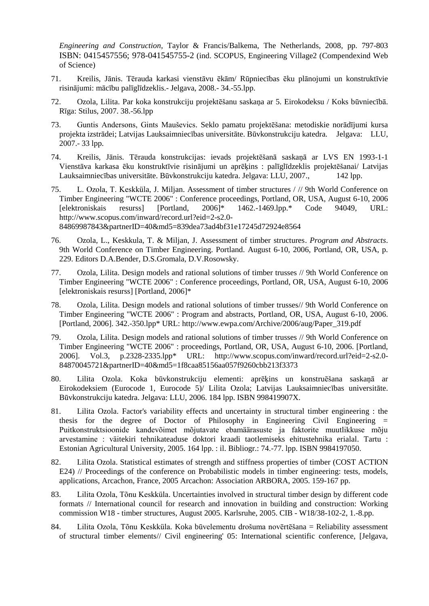*Engineering and Construction*, Taylor & Francis/Balkema, The Netherlands, 2008, pp. 797-803 ISBN: 0415457556; 978-041545755-2 (ind. SCOPUS, Engineering Village2 (Compendexind Web of Science)

- 71. Kreilis, Jānis. Tērauda karkasi vienstāvu ēkām/ Rūpniecības ēku plānojumi un konstruktīvie risinājumi: mācību palīglīdzeklis.- Jelgava, 2008.- 34.-55.lpp.
- 72. Ozola, Lilita. Par koka konstrukciju projektēšanu saskaņa ar 5. Eirokodeksu / Koks būvniecībā. Rīga: Stilus, 2007. 38.-56.lpp
- 73. Guntis Andersons, Gints Mauševics. Seklo pamatu projektēšana: metodiskie norādījumi kursa projekta izstrādei; Latvijas Lauksaimniecības universitāte. Būvkonstrukciju katedra. Jelgava: LLU, 2007.- 33 lpp.
- 74. Kreilis, Jānis. Tērauda konstrukcijas: ievads projektēšanā saskaņā ar LVS EN 1993-1-1 Vienstāva karkasa ēku konstruktīvie risinājumi un aprēķins : palīglīdzeklis projektēšanai/ Latvijas Lauksaimniecības universitāte. Būvkonstrukciju katedra. Jelgava: LLU, 2007., 142 lpp.
- 75. L. Ozola, T. Keskküla, J. Miljan. Assessment of timber structures / // 9th World Conference on Timber Engineering "WCTE 2006" : Conference proceedings, Portland, OR, USA, August 6-10, 2006 [elektroniskais resurss] [Portland, 2006]\* 1462.-1469.lpp.\* Code 94049, URL: http://www.scopus.com/inward/record.url?eid=2-s2.0- 84869987843&partnerID=40&md5=839dea73ad4bf31e17245d72924e8564
- 76. Ozola, L., Keskkula, T. & Miljan, J. Assessment of timber structures. *Program and Abstracts*. 9th World Conference on Timber Engineering. Portland. August 6-10, 2006, Portland, OR, USA, p. 229. Editors D.A.Bender, D.S.Gromala, D.V.Rosowsky.
- 77. Ozola, Lilita. Design models and rational solutions of timber trusses // 9th World Conference on Timber Engineering "WCTE 2006" : Conference proceedings, Portland, OR, USA, August 6-10, 2006 [elektroniskais resurss] [Portland, 2006]\*
- 78. Ozola, Lilita. Design models and rational solutions of timber trusses// 9th World Conference on Timber Engineering "WCTE 2006" : Program and abstracts, Portland, OR, USA, August 6-10, 2006. [Portland, 2006]. 342.-350.lpp\* URL: http://www.ewpa.com/Archive/2006/aug/Paper\_319.pdf
- 79. Ozola, Lilita. Design models and rational solutions of timber trusses // 9th World Conference on Timber Engineering "WCTE 2006" : proceedings, Portland, OR, USA, August 6-10, 2006. [Portland, 2006]. Vol.3, p.2328-2335.lpp\* URL: http://www.scopus.com/inward/record.url?eid=2-s2.0- 84870045721&partnerID=40&md5=1f8caa85156aa057f9260cbb213f3373
- 80. Lilita Ozola. Koka būvkonstrukciju elementi: aprēķins un konstruēšana saskaņā ar Eirokodeksiem (Eurocode 1, Eurocode 5)/ Lilita Ozola; Latvijas Lauksaimniecības universitāte. Būvkonstrukciju katedra. Jelgava: LLU, 2006. 184 lpp. ISBN 998419907X.
- 81. Lilita Ozola. Factor's variability effects and uncertainty in structural timber engineering : the thesis for the degree of Doctor of Philosophy in Engineering Civil Engineering = Puitkonstruktsioonide kandevõimet mõjutavate ebamäärasuste ja faktorite muutlikkuse mõju arvestamine : väitekiri tehnikateaduse doktori kraadi taotlemiseks ehitustehnika erialal. Tartu : Estonian Agricultural University, 2005. 164 lpp. : il. Bibliogr.: 74.-77. lpp. ISBN 9984197050.
- 82. Lilita Ozola. Statistical estimates of strength and stiffness properties of timber (COST ACTION E24) // Proceedings of the conference on Probabilistic models in timber engineering: tests, models, applications, Arcachon, France, 2005 Arcachon: Association ARBORA, 2005. 159-167 pp.
- 83. Lilita Ozola, Tõnu Keskküla. Uncertainties involved in structural timber design by different code formats // International council for research and innovation in building and construction: Working commission W18 - timber structures, August 2005. Karlsruhe, 2005. CIB - W18/38-102-2, 1.-8.pp.
- 84. Lilita Ozola, Tõnu Keskküla. Koka būvelementu drošuma novērtēšana = Reliability assessment of structural timber elements// Civil engineering' 05: International scientific conference, [Jelgava,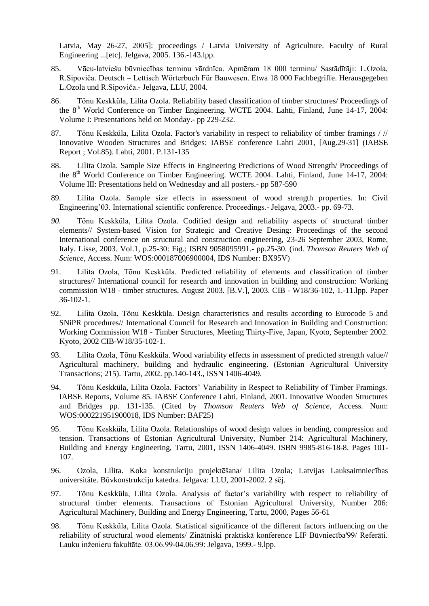Latvia, May 26-27, 2005]: proceedings / Latvia University of Agriculture. Faculty of Rural Engineering ...[etc]. Jelgava, 2005. 136.-143.lpp.

- 85. Vācu-latviešu būvniecības terminu vārdnīca. Apmēram 18 000 terminu/ Sastādītāji: L.Ozola, R.Sipoviča. Deutsch – Lettisch Wörterbuch Für Bauwesen. Etwa 18 000 Fachbegriffe. Herausgegeben L.Ozola und R.Sipoviča.- Jelgava, LLU, 2004.
- 86. Tönu Keskküla, Lilita Ozola. Reliability based classification of timber structures/ Proceedings of the 8<sup>th</sup> World Conference on Timber Engineering. WCTE 2004. Lahti, Finland, June 14-17, 2004: Volume I: Presentations held on Monday.- pp 229-232.
- 87. Tönu Keskküla, Lilita Ozola. Factor's variability in respect to reliability of timber framings / // Innovative Wooden Structures and Bridges: IABSE conference Lahti 2001, [Aug.29-31] (IABSE Report ; Vol.85). Lahti, 2001. P.131-135
- 88. Lilita Ozola. Sample Size Effects in Engineering Predictions of Wood Strength/ Proceedings of the  $8<sup>th</sup>$  World Conference on Timber Engineering. WCTE 2004. Lahti, Finland, June 14-17, 2004: Volume III: Presentations held on Wednesday and all posters.- pp 587-590
- 89. Lilita Ozola. Sample size effects in assessment of wood strength properties. In: Civil Engineering'03. International scientific conference. Proceedings.- Jelgava, 2003.- pp. 69-73.
- *90.* Tönu Keskküla, Lilita Ozola. Codified design and reliability aspects of structural timber elements// System-based Vision for Strategic and Creative Desing: Proceedings of the second International conference on structural and construction engineering, 23-26 September 2003, Rome, Italy. Lisse, 2003. Vol.1, p.25-30: Fig.; ISBN 9058095991.- pp.25-30. (ind. *Thomson Reuters Web of Science,* Access. Num: WOS:000187006900004, IDS Number: BX95V)
- 91. Lilita Ozola, Tõnu Keskküla. Predicted reliability of elements and classification of timber structures// International council for research and innovation in building and construction: Working commission W18 - timber structures, August 2003. [B.V.], 2003. CIB - W18/36-102, 1.-11.lpp. Paper 36-102-1.
- 92. Lilita Ozola, Tõnu Keskküla. Design characteristics and results according to Eurocode 5 and SNiPR procedures// International Council for Research and Innovation in Building and Construction: Working Commission W18 - Timber Structures, Meeting Thirty-Five, Japan, Kyoto, September 2002. Kyoto, 2002 CIB-W18/35-102-1.
- 93. Lilita Ozola, Tõnu Keskküla. Wood variability effects in assessment of predicted strength value// Agricultural machinery, building and hydraulic engineering. (Estonian Agricultural University Transactions; 215). Tartu, 2002. pp.140-143., ISSN 1406-4049.
- 94. Tönu Keskküla, Lilita Ozola. Factors' Variability in Respect to Reliability of Timber Framings. IABSE Reports, Volume 85. IABSE Conference Lahti, Finland, 2001. Innovative Wooden Structures and Bridges pp. 131-135. (Cited by *Thomson Reuters Web of Science*, Access. Num: WOS:000221951900018, IDS Number: BAF25)
- 95. Tönu Keskküla, Lilita Ozola. Relationships of wood design values in bending, compression and tension. Transactions of Estonian Agricultural University, Number 214: Agricultural Machinery, Building and Energy Engineering, Tartu, 2001, ISSN 1406-4049. ISBN 9985-816-18-8. Pages 101- 107.
- 96. Ozola, Lilita. Koka konstrukciju projektēšana/ Lilita Ozola; Latvijas Lauksaimniecības universitāte. Būvkonstrukciju katedra. Jelgava: LLU, 2001-2002. 2 sēj.
- 97. Tönu Keskküla, Lilita Ozola. Analysis of factor's variability with respect to reliability of structural timber elements. Transactions of Estonian Agricultural University, Number 206: Agricultural Machinery, Building and Energy Engineering, Tartu, 2000, Pages 56-61
- 98. Tönu Keskküla, Lilita Ozola. Statistical significance of the different factors influencing on the reliability of structural wood elements/ Zinātniski praktiskā konference LIF Būvniecība'99/ Referāti. Lauku inženieru fakultāte. 03.06.99-04.06.99: Jelgava, 1999.- 9.lpp.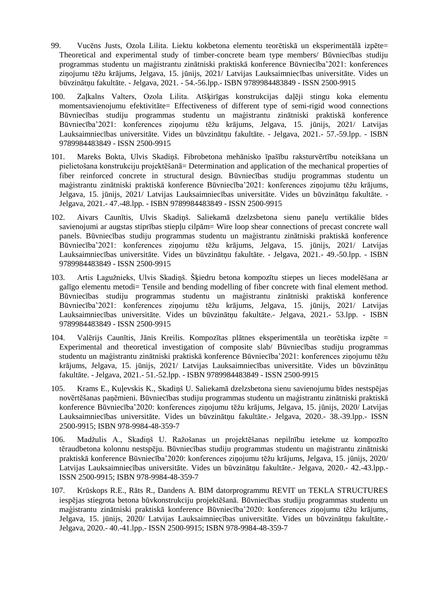- 99. Vucēns Justs, Ozola Lilita. Liektu kokbetona elementu teorētiskā un eksperimentālā izpēte= Theoretical and experimental study of timber-concrete beam type members/ Būvniecības studiju programmas studentu un maģistrantu zinātniski praktiskā konference Būvniecība'2021: konferences ziņojumu tēžu krājums, Jelgava, 15. jūnijs, 2021/ Latvijas Lauksaimniecības universitāte. Vides un būvzinātņu fakultāte. - Jelgava, 2021. - 54.-56.lpp.- ISBN 9789984483849 - ISSN 2500-9915
- 100. Zaļkalns Valters, Ozola Lilita. Atšķirīgas konstrukcijas daļēji stingu koka elementu momentsavienojumu efektivitāte= Effectiveness of different type of semi-rigid wood connections Būvniecības studiju programmas studentu un maģistrantu zinātniski praktiskā konference Būvniecība'2021: konferences ziņojumu tēžu krājums, Jelgava, 15. jūnijs, 2021/ Latvijas Lauksaimniecības universitāte. Vides un būvzinātņu fakultāte. - Jelgava, 2021.- 57.-59.lpp. - ISBN 9789984483849 - ISSN 2500-9915
- 101. Mareks Bokta, Ulvis Skadiņš. Fibrobetona mehānisko īpašību raksturvērtību noteikšana un pielietošana konstrukciju projektēšanā= Determination and application of the mechanical properties of fiber reinforced concrete in structural design. Būvniecības studiju programmas studentu un maģistrantu zinātniski praktiskā konference Būvniecība'2021: konferences ziņojumu tēžu krājums, Jelgava, 15. jūnijs, 2021/ Latvijas Lauksaimniecības universitāte. Vides un būvzinātņu fakultāte. - Jelgava, 2021.- 47.-48.lpp. - ISBN 9789984483849 - ISSN 2500-9915
- 102. Aivars Caunītis, Ulvis Skadiņš. Saliekamā dzelzsbetona sienu paneļu vertikālie bīdes savienojumi ar augstas stiprības stiepļu cilpām= Wire loop shear connections of precast concrete wall panels. Būvniecības studiju programmas studentu un maģistrantu zinātniski praktiskā konference Būvniecība'2021: konferences ziņojumu tēžu krājums, Jelgava, 15. jūnijs, 2021/ Latvijas Lauksaimniecības universitāte. Vides un būvzinātņu fakultāte. - Jelgava, 2021.- 49.-50.lpp. - ISBN 9789984483849 - ISSN 2500-9915
- 103. Artis Lagužnieks, Ulvis Skadiņš. Šķiedru betona kompozītu stiepes un lieces modelēšana ar galīgo elementu metodi= Tensile and bending modelling of fiber concrete with final element method. Būvniecības studiju programmas studentu un maģistrantu zinātniski praktiskā konference Būvniecība'2021: konferences ziņojumu tēžu krājums, Jelgava, 15. jūnijs, 2021/ Latvijas Lauksaimniecības universitāte. Vides un būvzinātņu fakultāte.- Jelgava, 2021.- 53.lpp. - ISBN 9789984483849 - ISSN 2500-9915
- 104. Valērijs Caunītis, Jānis Kreilis. Kompozītas plātnes eksperimentāla un teorētiska izpēte = Experimental and theoretical investigation of composite slab/ Būvniecības studiju programmas studentu un maģistrantu zinātniski praktiskā konference Būvniecība'2021: konferences ziņojumu tēžu krājums, Jelgava, 15. jūnijs, 2021/ Latvijas Lauksaimniecības universitāte. Vides un būvzinātņu fakultāte. - Jelgava, 2021.- 51.-52.lpp. - ISBN 9789984483849 - ISSN 2500-9915
- 105. Krams E., Kuļevskis K., Skadiņš U. Saliekamā dzelzsbetona sienu savienojumu bīdes nestspējas novērtēšanas paņēmieni. Būvniecības studiju programmas studentu un maģistrantu zinātniski praktiskā konference Būvniecība'2020: konferences ziņojumu tēžu krājums, Jelgava, 15. jūnijs, 2020/ Latvijas Lauksaimniecības universitāte. Vides un būvzinātņu fakultāte.- Jelgava, 2020.- 38.-39.lpp.- ISSN 2500-9915; ISBN 978-9984-48-359-7
- 106. Madžulis A., Skadiņš U. Ražošanas un projektēšanas nepilnību ietekme uz kompozīto tēraudbetona kolonnu nestspēju. Būvniecības studiju programmas studentu un maģistrantu zinātniski praktiskā konference Būvniecība'2020: konferences ziņojumu tēžu krājums, Jelgava, 15. jūnijs, 2020/ Latvijas Lauksaimniecības universitāte. Vides un būvzinātņu fakultāte.- Jelgava, 2020.- 42.-43.lpp.- ISSN 2500-9915; ISBN 978-9984-48-359-7
- 107. Krūskops R.E., Rāts R., Dandens A. BIM datorprogrammu REVIT un TEKLA STRUCTURES iespējas stiegrota betona būvkonstrukciju projektēšanā. Būvniecības studiju programmas studentu un maģistrantu zinātniski praktiskā konference Būvniecība'2020: konferences ziņojumu tēžu krājums, Jelgava, 15. jūnijs, 2020/ Latvijas Lauksaimniecības universitāte. Vides un būvzinātņu fakultāte.- Jelgava, 2020.- 40.-41.lpp.- ISSN 2500-9915; ISBN 978-9984-48-359-7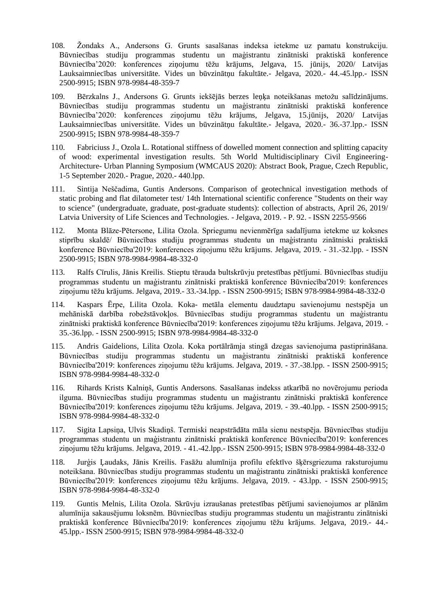- 108. Žondaks A., Andersons G. Grunts sasalšanas indeksa ietekme uz pamatu konstrukciju. Būvniecības studiju programmas studentu un maģistrantu zinātniski praktiskā konference Būvniecība'2020: konferences ziņojumu tēžu krājums, Jelgava, 15. jūnijs, 2020/ Latvijas Lauksaimniecības universitāte. Vides un būvzinātņu fakultāte.- Jelgava, 2020.- 44.-45.lpp.- ISSN 2500-9915; ISBN 978-9984-48-359-7
- 109. Bērzkalns J., Andersons G. Grunts iekšējās berzes leņķa noteikšanas metožu salīdzinājums. Būvniecības studiju programmas studentu un maģistrantu zinātniski praktiskā konference Būvniecība'2020: konferences ziņojumu tēžu krājums, Jelgava, 15.jūnijs, 2020/ Latvijas Lauksaimniecības universitāte. Vides un būvzinātņu fakultāte.- Jelgava, 2020.- 36.-37.lpp.- ISSN 2500-9915; ISBN 978-9984-48-359-7
- 110. Fabriciuss J., Ozola L. Rotational stiffness of dowelled moment connection and splitting capacity of wood: experimental investigation results. 5th World Multidisciplinary Civil Engineering-Architecture- Urban Planning Symposium (WMCAUS 2020): Abstract Book, Prague, Czech Republic, 1-5 September 2020.- Prague, 2020.- 440.lpp.
- 111. Sintija Neščadima, Guntis Andersons. Comparison of geotechnical investigation methods of static probing and flat dilatometer test/ 14th International scientific conference "Students on their way to science" (undergraduate, graduate, post-graduate students): collection of abstracts, April 26, 2019/ Latvia University of Life Sciences and Technologies. - Jelgava, 2019. - P. 92. - ISSN 2255-9566
- 112. Monta Blāze-Pētersone, Lilita Ozola. Spriegumu nevienmērīga sadalījuma ietekme uz koksnes stiprību skaldē/ Būvniecības studiju programmas studentu un maģistrantu zinātniski praktiskā konference Būvniecība'2019: konferences ziņojumu tēžu krājums. Jelgava, 2019. - 31.-32.lpp. - ISSN 2500-9915; ISBN 978-9984-9984-48-332-0
- 113. Ralfs Cīrulis, Jānis Kreilis. Stieptu tērauda bultskrūvju pretestības pētījumi. Būvniecības studiju programmas studentu un maģistrantu zinātniski praktiskā konference Būvniecība'2019: konferences ziņojumu tēžu krājums. Jelgava, 2019.- 33.-34.lpp. - ISSN 2500-9915; ISBN 978-9984-9984-48-332-0
- 114. Kaspars Ērpe, Lilita Ozola. Koka- metāla elementu daudztapu savienojumu nestspēja un mehāniskā darbība robežstāvokļos. Būvniecības studiju programmas studentu un maģistrantu zinātniski praktiskā konference Būvniecība'2019: konferences ziņojumu tēžu krājums. Jelgava, 2019. - 35.-36.lpp. - ISSN 2500-9915; ISBN 978-9984-9984-48-332-0
- 115. Andris Gaidelions, Lilita Ozola. Koka portālrāmja stingā dzegas savienojuma pastiprināšana. Būvniecības studiju programmas studentu un maģistrantu zinātniski praktiskā konference Būvniecība'2019: konferences ziņojumu tēžu krājums. Jelgava, 2019. - 37.-38.lpp. - ISSN 2500-9915; ISBN 978-9984-9984-48-332-0
- 116. Rihards Krists Kalniņš, Guntis Andersons. Sasalšanas indekss atkarībā no novērojumu perioda ilguma. Būvniecības studiju programmas studentu un maģistrantu zinātniski praktiskā konference Būvniecība'2019: konferences ziņojumu tēžu krājums. Jelgava, 2019. - 39.-40.lpp. - ISSN 2500-9915; ISBN 978-9984-9984-48-332-0
- 117. Sigita Lapsiņa, Ulvis Skadiņš. Termiski neapstrādāta māla sienu nestspēja. Būvniecības studiju programmas studentu un maģistrantu zinātniski praktiskā konference Būvniecība'2019: konferences ziņojumu tēžu krājums. Jelgava, 2019. - 41.-42.lpp.- ISSN 2500-9915; ISBN 978-9984-9984-48-332-0
- 118. Jurģis Ļaudaks, Jānis Kreilis. Fasāžu alumīnija profilu efektīvo šķērsgriezuma raksturojumu noteikšana. Būvniecības studiju programmas studentu un maģistrantu zinātniski praktiskā konference Būvniecība'2019: konferences ziņojumu tēžu krājums. Jelgava, 2019. - 43.lpp. - ISSN 2500-9915; ISBN 978-9984-9984-48-332-0
- 119. Guntis Melnis, Lilita Ozola. Skrūvju izraušanas pretestības pētījumi savienojumos ar plānām alumīnija sakausējumu loksnēm. Būvniecības studiju programmas studentu un maģistrantu zinātniski praktiskā konference Būvniecība'2019: konferences ziņojumu tēžu krājums. Jelgava, 2019.- 44.- 45.lpp.- ISSN 2500-9915; ISBN 978-9984-9984-48-332-0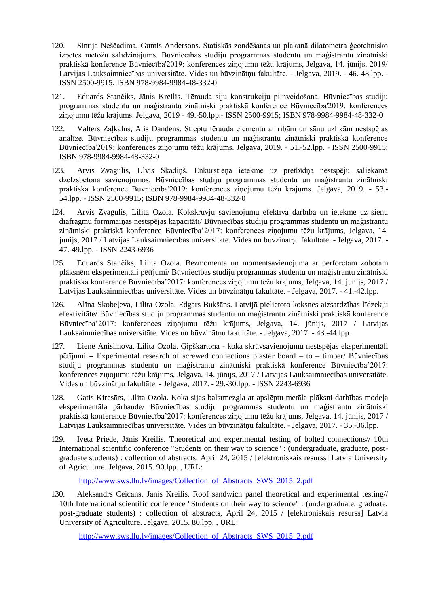- 120. Sintija Neščadima, Guntis Andersons. Statiskās zondēšanas un plakanā dilatometra ģeotehnisko izpētes metožu salīdzinājums. Būvniecības studiju programmas studentu un maģistrantu zinātniski praktiskā konference Būvniecība'2019: konferences ziņojumu tēžu krājums, Jelgava, 14. jūnijs, 2019/ Latvijas Lauksaimniecības universitāte. Vides un būvzinātņu fakultāte. - Jelgava, 2019. - 46.-48.lpp. - ISSN 2500-9915; ISBN 978-9984-9984-48-332-0
- 121. Eduards Stančiks, Jānis Kreilis. Tērauda siju konstrukciju pilnveidošana. Būvniecības studiju programmas studentu un maģistrantu zinātniski praktiskā konference Būvniecība'2019: konferences ziņojumu tēžu krājums. Jelgava, 2019 - 49.-50.lpp.- ISSN 2500-9915; ISBN 978-9984-9984-48-332-0
- 122. Valters Zaļkalns, Atis Dandens. Stieptu tērauda elementu ar ribām un sānu uzlikām nestspējas analīze. Būvniecības studiju programmas studentu un maģistrantu zinātniski praktiskā konference Būvniecība'2019: konferences ziņojumu tēžu krājums. Jelgava, 2019. - 51.-52.lpp. - ISSN 2500-9915; ISBN 978-9984-9984-48-332-0
- 123. Arvis Zvagulis, Ulvis Skadiņš. Enkurstieņa ietekme uz pretbīdņa nestspēju saliekamā dzelzsbetona savienojumos. Būvniecības studiju programmas studentu un maģistrantu zinātniski praktiskā konference Būvniecība'2019: konferences ziņojumu tēžu krājums. Jelgava, 2019. - 53.- 54.lpp. - ISSN 2500-9915; ISBN 978-9984-9984-48-332-0
- 124. Arvis Zvagulis, Lilita Ozola. Kokskrūvju savienojumu efektīvā darbība un ietekme uz sienu diafragmu formmaiņas nestspējas kapacitāti/ Būvniecības studiju programmas studentu un maģistrantu zinātniski praktiskā konference Būvniecība'2017: konferences ziņojumu tēžu krājums, Jelgava, 14. jūnijs, 2017 / Latvijas Lauksaimniecības universitāte. Vides un būvzinātņu fakultāte. - Jelgava, 2017. - 47.-49.lpp. - ISSN 2243-6936
- 125. Eduards Stančiks, Lilita Ozola. Bezmomenta un momentsavienojuma ar perforētām zobotām plāksnēm eksperimentāli pētījumi/ Būvniecības studiju programmas studentu un maģistrantu zinātniski praktiskā konference Būvniecība'2017: konferences ziņojumu tēžu krājums, Jelgava, 14. jūnijs, 2017 / Latvijas Lauksaimniecības universitāte. Vides un būvzinātņu fakultāte. - Jelgava, 2017. - 41.-42.lpp.
- 126. Alīna Skobeļeva, Lilita Ozola, Edgars Bukšāns. Latvijā pielietoto koksnes aizsardzības līdzekļu efektivitāte/ Būvniecības studiju programmas studentu un maģistrantu zinātniski praktiskā konference Būvniecība'2017: konferences ziņojumu tēžu krājums, Jelgava, 14. jūnijs, 2017 / Latvijas Lauksaimniecības universitāte. Vides un būvzinātņu fakultāte. - Jelgava, 2017. - 43.-44.lpp.
- 127. Liene Aņisimova, Lilita Ozola. Ģipškartona koka skrūvsavienojumu nestspējas eksperimentāli pētījumi = Experimental research of screwed connections plaster board – to – timber/ Būvniecības studiju programmas studentu un maģistrantu zinātniski praktiskā konference Būvniecība'2017: konferences ziņojumu tēžu krājums, Jelgava, 14. jūnijs, 2017 / Latvijas Lauksaimniecības universitāte. Vides un būvzinātņu fakultāte. - Jelgava, 2017. - 29.-30.lpp. - ISSN 2243-6936
- 128. Gatis Kiresārs, Lilita Ozola. Koka sijas balstmezgla ar apslēptu metāla plāksni darbības modeļa eksperimentāla pārbaude/ Būvniecības studiju programmas studentu un maģistrantu zinātniski praktiskā konference Būvniecība'2017: konferences ziņojumu tēžu krājums, Jelgava, 14. jūnijs, 2017 / Latvijas Lauksaimniecības universitāte. Vides un būvzinātņu fakultāte. - Jelgava, 2017. - 35.-36.lpp.
- 129. Iveta Priede, Jānis Kreilis. Theoretical and experimental testing of bolted connections// 10th International scientific conference "Students on their way to science" : (undergraduate, graduate, postgraduate students) : collection of abstracts, April 24, 2015 / [elektroniskais resurss] Latvia University of Agriculture. Jelgava, 2015. 90.lpp. , URL:

[http://www.sws.llu.lv/images/Collection\\_of\\_Abstracts\\_SWS\\_2015\\_2.pdf](http://www.sws.llu.lv/images/Collection_of_Abstracts_SWS_2015_2.pdf)

130. Aleksandrs Ceicāns, Jānis Kreilis. Roof sandwich panel theoretical and experimental testing// 10th International scientific conference "Students on their way to science" : (undergraduate, graduate, post-graduate students) : collection of abstracts, April 24, 2015 / [elektroniskais resurss] Latvia University of Agriculture. Jelgava, 2015. 80.lpp. , URL:

[http://www.sws.llu.lv/images/Collection\\_of\\_Abstracts\\_SWS\\_2015\\_2.pdf](http://www.sws.llu.lv/images/Collection_of_Abstracts_SWS_2015_2.pdf)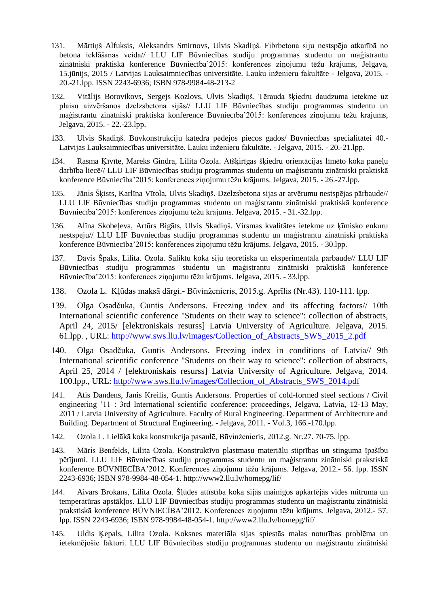- 131. Mārtiņš Alfuksis, Aleksandrs Smirnovs, Ulvis Skadiņš. Fibrbetona siju nestspēja atkarībā no betona ieklāšanas veida// LLU LIF Būvniecības studiju programmas studentu un maģistrantu zinātniski praktiskā konference Būvniecība'2015: konferences ziņojumu tēžu krājums, Jelgava, 15.jūnijs, 2015 / Latvijas Lauksaimniecības universitāte. Lauku inženieru fakultāte - Jelgava, 2015. - 20.-21.lpp. ISSN 2243-6936; ISBN 978-9984-48-213-2
- 132. Vitālijs Borovikovs, Sergejs Kozlovs, Ulvis Skadiņš. Tērauda šķiedru daudzuma ietekme uz plaisu aizvēršanos dzelzsbetona sijās// LLU LIF Būvniecības studiju programmas studentu un maģistrantu zinātniski praktiskā konference Būvniecība'2015: konferences ziņojumu tēžu krājums, Jelgava, 2015. - 22.-23.lpp.
- 133. Ulvis Skadiņš. Būvkonstrukciju katedra pēdējos piecos gados/ Būvniecības specialitātei 40.- Latvijas Lauksaimniecības universitāte. Lauku inženieru fakultāte. - Jelgava, 2015. - 20.-21.lpp.
- 134. Rasma Ķīvīte, Mareks Gindra, Lilita Ozola. Atšķirīgas šķiedru orientācijas līmēto koka paneļu darbība liecē// LLU LIF Būvniecības studiju programmas studentu un maģistrantu zinātniski praktiskā konference Būvniecība'2015: konferences ziņojumu tēžu krājums. Jelgava, 2015. - 26.-27.lpp.
- 135. Jānis Šķists, Karlīna Vītola, Ulvis Skadiņš. Dzelzsbetona sijas ar atvērumu nestspējas pārbaude// LLU LIF Būvniecības studiju programmas studentu un maģistrantu zinātniski praktiskā konference Būvniecība'2015: konferences ziņojumu tēžu krājums. Jelgava, 2015. - 31.-32.lpp.
- 136. Alīna Skobeļeva, Artūrs Bigāts, Ulvis Skadiņš. Virsmas kvalitātes ietekme uz ķīmisko enkuru nestspēju// LLU LIF Būvniecības studiju programmas studentu un maģistrantu zinātniski praktiskā konference Būvniecība'2015: konferences ziņojumu tēžu krājums. Jelgava, 2015. - 30.lpp.
- 137. Dāvis Špaks, Lilita. Ozola. Saliktu koka siju teorētiska un eksperimentāla pārbaude// LLU LIF Būvniecības studiju programmas studentu un maģistrantu zinātniski praktiskā konference Būvniecība'2015: konferences ziņojumu tēžu krājums. Jelgava, 2015. - 33.lpp.
- 138. Ozola L. Kļūdas maksā dārgi.- Būvinženieris, 2015.g. Aprīlis (Nr.43). 110-111. lpp.
- 139. Olga Osadčuka, Guntis Andersons. Freezing index and its affecting factors// 10th International scientific conference "Students on their way to science": collection of abstracts, April 24, 2015/ [elektroniskais resurss] Latvia University of Agriculture. Jelgava, 2015. 61.lpp. , URL: [http://www.sws.llu.lv/images/Collection\\_of\\_Abstracts\\_SWS\\_2015\\_2.pdf](http://www.sws.llu.lv/images/Collection_of_Abstracts_SWS_2015_2.pdf)
- 140. Olga Osadčuka, Guntis Andersons. Freezing index in conditions of Latvia// 9th International scientific conference "Students on their way to science": collection of abstracts, April 25, 2014 / [elektroniskais resurss] Latvia University of Agriculture. Jelgava, 2014. 100.lpp., URL: [http://www.sws.llu.lv/images/Collection\\_of\\_Abstracts\\_SWS\\_2014.pdf](http://www.sws.llu.lv/images/Collection_of_Abstracts_SWS_2014.pdf)
- 141. Atis Dandens, Janis Kreilis, Guntis Andersons. Properties of cold-formed steel sections / Civil engineering '11 : 3rd International scientific conference: proceedings, Jelgava, Latvia, 12-13 May, 2011 / Latvia University of Agriculture. Faculty of Rural Engineering. Department of Architecture and Building. Department of Structural Engineering. - Jelgava, 2011. - Vol.3, 166.-170.lpp.
- 142. Ozola L. Lielākā koka konstrukcija pasaulē, Būvinženieris, 2012.g. Nr.27. 70-75. lpp.
- 143. Māris Benfelds, Lilita Ozola. Konstruktīvo plastmasu materiālu stiprības un stinguma īpašību pētījumi. LLU LIF Būvniecības studiju programmas studentu un maģistrantu zinātniski prakstiskā konference BŪVNIECĪBA'2012. Konferences ziņojumu tēžu krājums. Jelgava, 2012.- 56. lpp. ISSN 2243-6936; ISBN 978-9984-48-054-1. http://www2.llu.lv/homepg/lif/
- 144. Aivars Brokans, Lilita Ozola. Šļūdes attīstība koka sijās mainīgos apkārtējās vides mitruma un temperatūras apstākļos. LLU LIF Būvniecības studiju programmas studentu un maģistrantu zinātniski prakstiskā konference BŪVNIECĪBA'2012. Konferences ziņojumu tēžu krājums. Jelgava, 2012.- 57. lpp. ISSN 2243-6936; ISBN 978-9984-48-054-1. http://www2.llu.lv/homepg/lif/
- 145. Uldis Ķepals, Lilita Ozola. Koksnes materiāla sijas spiestās malas noturības problēma un ietekmējošie faktori. LLU LIF Būvniecības studiju programmas studentu un maģistrantu zinātniski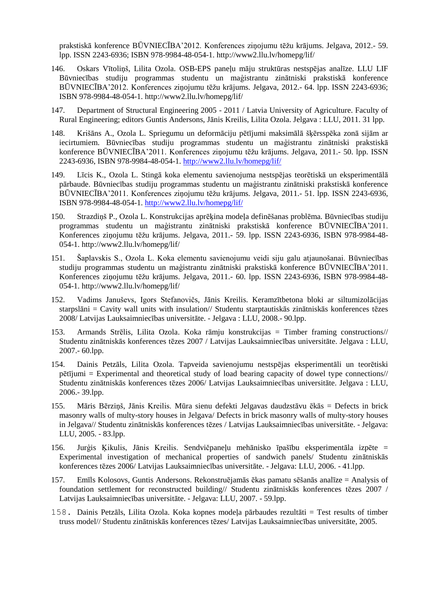prakstiskā konference BŪVNIECĪBA'2012. Konferences ziņojumu tēžu krājums. Jelgava, 2012.- 59. lpp. ISSN 2243-6936; ISBN 978-9984-48-054-1. http://www2.llu.lv/homepg/lif/

- 146. Oskars Vītoliņš, Lilita Ozola. OSB-EPS paneļu māju struktūras nestspējas analīze. LLU LIF Būvniecības studiju programmas studentu un maģistrantu zinātniski prakstiskā konference BŪVNIECĪBA'2012. Konferences ziņojumu tēžu krājums. Jelgava, 2012.- 64. lpp. ISSN 2243-6936; ISBN 978-9984-48-054-1. http://www2.llu.lv/homepg/lif/
- 147. Department of Structural Engineering 2005 2011 / Latvia University of Agriculture. Faculty of Rural Engineering; editors Guntis Andersons, Jānis Kreilis, Lilita Ozola. Jelgava : LLU, 2011. 31 lpp.
- 148. Krišāns A., Ozola L. Spriegumu un deformāciju pētījumi maksimālā šķērsspēka zonā sijām ar iecirtumiem. Būvniecības studiju programmas studentu un maģistrantu zinātniski prakstiskā konference BŪVNIECĪBA'2011. Konferences ziņojumu tēžu krājums. Jelgava, 2011.- 50. lpp. ISSN 2243-6936, ISBN 978-9984-48-054-1.<http://www2.llu.lv/homepg/lif/>
- 149. Līcis K., Ozola L. Stingā koka elementu savienojuma nestspējas teorētiskā un eksperimentālā pārbaude. Būvniecības studiju programmas studentu un maģistrantu zinātniski prakstiskā konference BŪVNIECĪBA'2011. Konferences ziņojumu tēžu krājums. Jelgava, 2011.- 51. lpp. ISSN 2243-6936, ISBN 978-9984-48-054-1.<http://www2.llu.lv/homepg/lif/>
- 150. Strazdiņš P., Ozola L. Konstrukcijas aprēķina modeļa definēšanas problēma. Būvniecības studiju programmas studentu un maģistrantu zinātniski prakstiskā konference BŪVNIECĪBA'2011. Konferences ziņojumu tēžu krājums. Jelgava, 2011.- 59. lpp. ISSN 2243-6936, ISBN 978-9984-48- 054-1. http://www2.llu.lv/homepg/lif/
- 151. Šaplavskis S., Ozola L. Koka elementu savienojumu veidi siju galu atjaunošanai. Būvniecības studiju programmas studentu un maģistrantu zinātniski prakstiskā konference BŪVNIECĪBA'2011. Konferences ziņojumu tēžu krājums. Jelgava, 2011.- 60. lpp. ISSN 2243-6936, ISBN 978-9984-48- 054-1. http://www2.llu.lv/homepg/lif/
- 152. Vadims Januševs, Igors Stefanovičs, Jānis Kreilis. Keramzītbetona bloki ar siltumizolācijas starpslāni = Cavity wall units with insulation// Studentu starptautiskās zinātniskās konferences tēzes 2008/ Latvijas Lauksaimniecības universitāte. - Jelgava : LLU, 2008.- 90.lpp.
- 153. Armands Strēlis, Lilita Ozola. Koka rāmju konstrukcijas = Timber framing constructions// Studentu zinātniskās konferences tēzes 2007 / Latvijas Lauksaimniecības universitāte. Jelgava : LLU, 2007.- 60.lpp.
- 154. Dainis Petzāls, Lilita Ozola. Tapveida savienojumu nestspējas eksperimentāli un teorētiski pētījumi = Experimental and theoretical study of load bearing capacity of dowel type connections// Studentu zinātniskās konferences tēzes 2006/ Latvijas Lauksaimniecības universitāte. Jelgava : LLU, 2006.- 39.lpp.
- 155. Māris Bērziņš, Jānis Kreilis. Mūra sienu defekti Jelgavas daudzstāvu ēkās = Defects in brick masonry walls of multy-story houses in Jelgava/ Defects in brick masonry walls of multy-story houses in Jelgava// Studentu zinātniskās konferences tēzes / Latvijas Lauksaimniecības universitāte. - Jelgava: LLU, 2005. - 83.lpp.
- 156. Jurģis Ķikulis, Jānis Kreilis. Sendvičpaneļu mehānisko īpašību eksperimentāla izpēte = Experimental investigation of mechanical properties of sandwich panels/ Studentu zinātniskās konferences tēzes 2006/ Latvijas Lauksaimniecības universitāte. - Jelgava: LLU, 2006. - 41.lpp.
- 157. Emīls Kolosovs, Guntis Andersons. Rekonstruējamās ēkas pamatu sēšanās analīze = Analysis of foundation settlement for reconstructed building// Studentu zinātniskās konferences tēzes 2007 / Latvijas Lauksaimniecības universitāte. - Jelgava: LLU, 2007. - 59.lpp.
- 158. Dainis Petzāls, Lilita Ozola. Koka kopnes modeļa pārbaudes rezultāti = Test results of timber truss model// Studentu zinātniskās konferences tēzes/ Latvijas Lauksaimniecības universitāte, 2005.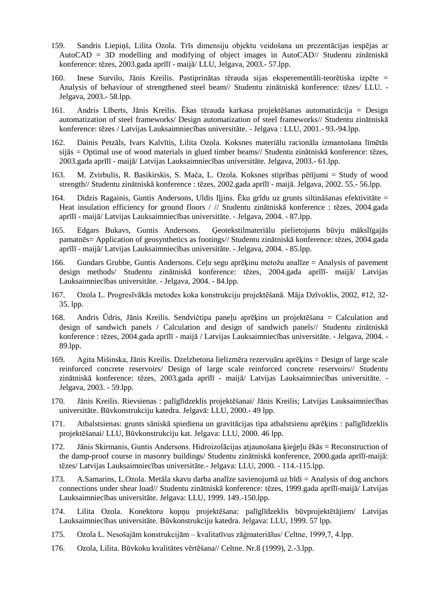- 159. Sandris Liepiņš, Lilita Ozola. Trīs dimensiju objektu veidošana un prezentācijas iespējas ar AutoCAD = 3D modelling and modifying of object images in AutoCAD// Studentu zinātniskā konference: tēzes, 2003.gada aprīlī - maijā/ LLU, Jelgava, 2003.- 57.lpp.
- 160. Inese Survilo, Jānis Kreilis. Pastiprinātas tērauda sijas eksperementāli-teorētiska izpēte = Analysis of behaviour of strengthened steel beam// Studentu zinātniskā konference: tēzes/ LLU. - Jelgava, 2003.- 58.lpp.
- 161. Andris Līberts, Jānis Kreilis. Ēkas tērauda karkasa projektēšanas automatizācija = Design automatization of steel frameworks/ Design automatization of steel frameworks// Studentu zinātniskā konference: tēzes / Latvijas Lauksaimniecības universitāte. - Jelgava : LLU, 2001.- 93.-94.lpp.
- 162. Dainis Petzāls, Ivars Kalvītis, Lilita Ozola. Koksnes materiālu racionāla izmantošana līmētās sijās = Optimal use of wood materials in glued timber beams// Studentu zinātniskā konference: tēzes, 2003.gada aprīlī - maijā/ Latvijas Lauksaimniecības universitāte. Jelgava, 2003.- 61.lpp.
- 163. M. Zvirbulis, R. Basikirskis, S. Mača, L. Ozola. Koksnes stiprības pētījumi = Study of wood strength// Studentu zinātniskā konference : tēzes, 2002.gada aprīlī - maijā. Jelgava, 2002. 55.- 56.lpp.
- 164. Didzis Ragainis, Guntis Andersons, Uldis Iļjins. Ēku grīdu uz grunts siltināšanas efektivitāte = Heat insulation efficiency for ground floors / // Studentu zinātniskā konference : tēzes, 2004.gada aprīlī - maijā/ Latvijas Lauksaimniecības universitāte. - Jelgava, 2004. - 87.lpp.
- 165. Edgars Bukavs, Guntis Andersons. Ģeotekstilmateriālu pielietojums būvju mākslīgajās pamatnēs= Application of geosynthetics as footings// Studentu zinātniskā konference: tēzes, 2004.gada aprīlī - maijā/ Latvijas Lauksaimniecības universitāte. - Jelgava, 2004. - 85.lpp.
- 166. Gundars Grubbe, Guntis Andersons. Ceļu segu aprēķinu metožu analīze = Analysis of pavement design methods/ Studentu zinātniskā konference: tēzes, 2004.gada aprīlī- maijā/ Latvijas Lauksaimniecības universitāte. - Jelgava, 2004. - 84.lpp.
- 167. Ozola L. Progresīvākās metodes koka konstrukciju projektēšanā. Māja Dzīvoklis, 2002, #12, 32- 35. lpp.
- 168. Andris Ūdris, Jānis Kreilis. Sendvičtipa paneļu aprēķins un projektēšana = Calculation and design of sandwich panels / Calculation and design of sandwich panels// Studentu zinātniskā konference : tēzes, 2004.gada aprīlī - maijā / Latvijas Lauksaimniecības universitāte. - Jelgava, 2004. - 89.lpp.
- 169. Agita Mišinska, Jānis Kreilis. Dzelzbetona lielizmēra rezervuāru aprēķins = Design of large scale reinforced concrete reservoirs/ Design of large scale reinforced concrete reservoirs// Studentu zinātniskā konference: tēzes, 2003.gada aprīlī - maijā/ Latvijas Lauksaimniecības universitāte. - Jelgava, 2003. - 59.lpp.
- 170. Jānis Kreilis. Rievsienas : palīglīdzeklis projektēšanai/ Jānis Kreilis; Latvijas Lauksaimniecības universitāte. Būvkonstrukciju katedra. Jelgavā: LLU, 2000.- 49 lpp.
- 171. Atbalstsienas: grunts sāniskā spiediena un gravitācijas tipa atbalstsienu aprēķins : palīglīdzeklis projektēšanai/ LLU, Būvkonstrukciju kat. Jelgava: LLU, 2000. 46 lpp.
- 172. Jānis Skirmanis, Guntis Andersons. Hidroizolācijas atjaunošana ķieģeļu ēkās = Reconstruction of the damp-proof course in masonry buildings/ Studentu zinātniskā konference, 2000.gada aprīlī-maijā: tēzes/ Latvijas Lauksaimniecības universitāte.- Jelgava: LLU, 2000. - 114.-115.lpp.
- 173. A.Samarins, L.Ozola. Metāla skavu darba analīze savienojumā uz bīdi = Analysis of dog anchors connections under shear load// Studentu zinātniskā konference: tēzes, 1999.gada aprīlī-maijā/ Latvijas Lauksaimniecības universitāte. Jelgava: LLU, 1999. 149.-150.lpp.
- 174. Lilita Ozola. Konektoru kopņu projektēšana: palīglīdzeklis būvprojektētājiem/ Latvijas Lauksaimniecības universitāte. Būvkonstrukciju katedra. Jelgava: LLU, 1999. 57 lpp.
- 175. Ozola L. Nesošajām konstrukcijām kvalitatīvus zāģmateriālus/ Celtne, 1999,7, 4.lpp.
- 176. Ozola, Lilita. Būvkoku kvalitātes vērtēšana// Celtne. Nr.8 (1999), 2.-3.lpp.